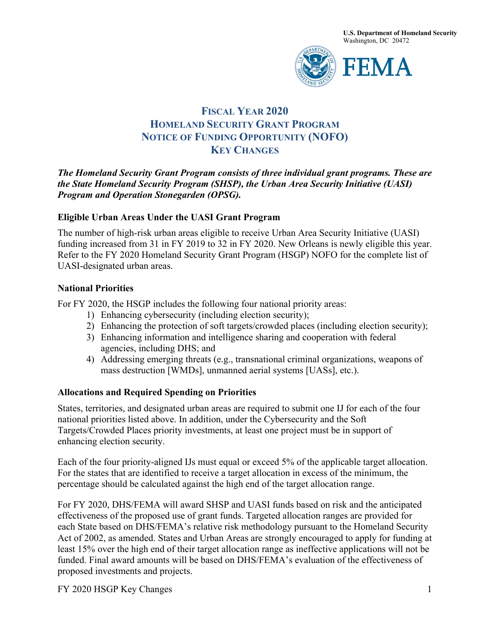**U.S. Department of Homeland Security** Washington, DC 20472



# **FISCAL YEAR 2020 HOMELAND SECURITY GRANT PROGRAM NOTICE OF FUNDING OPPORTUNITY (NOFO) KEY CHANGES**

*The Homeland Security Grant Program consists of three individual grant programs. These are the State Homeland Security Program (SHSP), the Urban Area Security Initiative (UASI) Program and Operation Stonegarden (OPSG).* 

#### **Eligible Urban Areas Under the UASI Grant Program**

The number of high-risk urban areas eligible to receive Urban Area Security Initiative (UASI) funding increased from 31 in FY 2019 to 32 in FY 2020. New Orleans is newly eligible this year. Refer to the FY 2020 Homeland Security Grant Program (HSGP) NOFO for the complete list of UASI-designated urban areas.

#### **National Priorities**

For FY 2020, the HSGP includes the following four national priority areas:

- 1) Enhancing cybersecurity (including election security);
- 2) Enhancing the protection of soft targets/crowded places (including election security);
- 3) Enhancing information and intelligence sharing and cooperation with federal agencies, including DHS; and
- 4) Addressing emerging threats (e.g., transnational criminal organizations, weapons of mass destruction [WMDs], unmanned aerial systems [UASs], etc.).

### **Allocations and Required Spending on Priorities**

States, territories, and designated urban areas are required to submit one IJ for each of the four national priorities listed above. In addition, under the Cybersecurity and the Soft Targets/Crowded Places priority investments, at least one project must be in support of enhancing election security.

Each of the four priority-aligned IJs must equal or exceed 5% of the applicable target allocation. For the states that are identified to receive a target allocation in excess of the minimum, the percentage should be calculated against the high end of the target allocation range.

For FY 2020, DHS/FEMA will award SHSP and UASI funds based on risk and the anticipated effectiveness of the proposed use of grant funds. Targeted allocation ranges are provided for each State based on DHS/FEMA's relative risk methodology pursuant to the Homeland Security Act of 2002, as amended. States and Urban Areas are strongly encouraged to apply for funding at least 15% over the high end of their target allocation range as ineffective applications will not be funded. Final award amounts will be based on DHS/FEMA's evaluation of the effectiveness of proposed investments and projects.

FY 2020 HSGP Key Changes 1